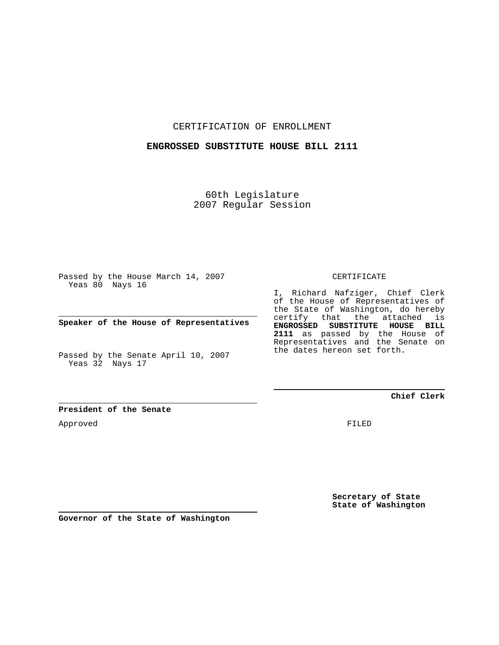CERTIFICATION OF ENROLLMENT

#### **ENGROSSED SUBSTITUTE HOUSE BILL 2111**

60th Legislature 2007 Regular Session

Passed by the House March 14, 2007 Yeas 80 Nays 16

**Speaker of the House of Representatives**

Passed by the Senate April 10, 2007 Yeas 32 Nays 17

CERTIFICATE

I, Richard Nafziger, Chief Clerk of the House of Representatives of the State of Washington, do hereby certify that the attached is **ENGROSSED SUBSTITUTE HOUSE BILL 2111** as passed by the House of Representatives and the Senate on the dates hereon set forth.

## **Chief Clerk**

**President of the Senate**

Approved

FILED

**Secretary of State State of Washington**

**Governor of the State of Washington**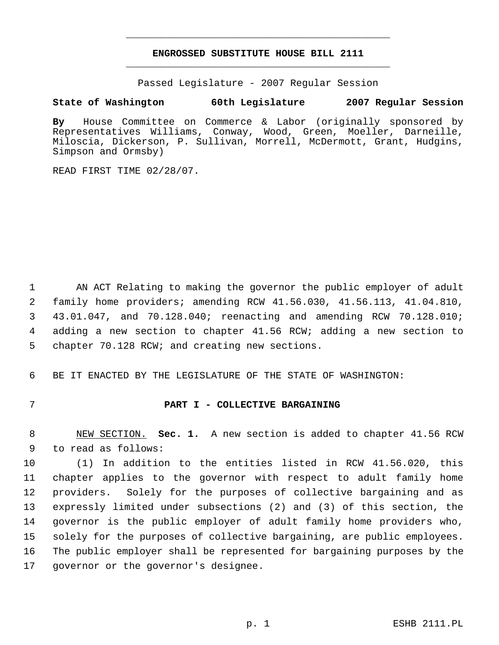# **ENGROSSED SUBSTITUTE HOUSE BILL 2111** \_\_\_\_\_\_\_\_\_\_\_\_\_\_\_\_\_\_\_\_\_\_\_\_\_\_\_\_\_\_\_\_\_\_\_\_\_\_\_\_\_\_\_\_\_

\_\_\_\_\_\_\_\_\_\_\_\_\_\_\_\_\_\_\_\_\_\_\_\_\_\_\_\_\_\_\_\_\_\_\_\_\_\_\_\_\_\_\_\_\_

Passed Legislature - 2007 Regular Session

## **State of Washington 60th Legislature 2007 Regular Session**

**By** House Committee on Commerce & Labor (originally sponsored by Representatives Williams, Conway, Wood, Green, Moeller, Darneille, Miloscia, Dickerson, P. Sullivan, Morrell, McDermott, Grant, Hudgins, Simpson and Ormsby)

READ FIRST TIME 02/28/07.

 AN ACT Relating to making the governor the public employer of adult family home providers; amending RCW 41.56.030, 41.56.113, 41.04.810, 43.01.047, and 70.128.040; reenacting and amending RCW 70.128.010; adding a new section to chapter 41.56 RCW; adding a new section to chapter 70.128 RCW; and creating new sections.

BE IT ENACTED BY THE LEGISLATURE OF THE STATE OF WASHINGTON:

## **PART I - COLLECTIVE BARGAINING**

 NEW SECTION. **Sec. 1.** A new section is added to chapter 41.56 RCW to read as follows:

 (1) In addition to the entities listed in RCW 41.56.020, this chapter applies to the governor with respect to adult family home providers. Solely for the purposes of collective bargaining and as expressly limited under subsections (2) and (3) of this section, the governor is the public employer of adult family home providers who, solely for the purposes of collective bargaining, are public employees. The public employer shall be represented for bargaining purposes by the governor or the governor's designee.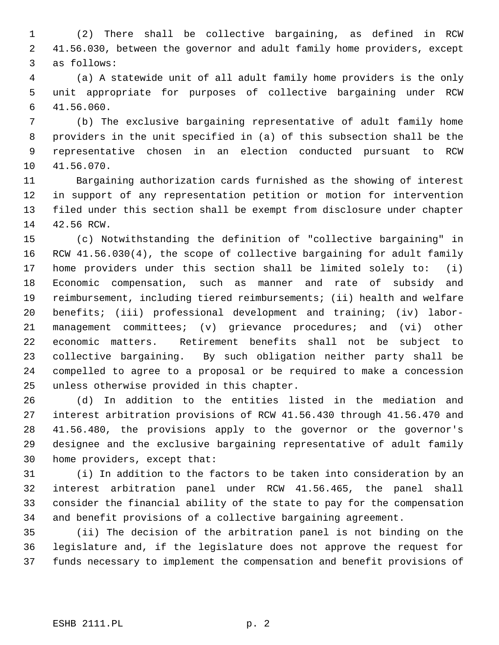(2) There shall be collective bargaining, as defined in RCW 41.56.030, between the governor and adult family home providers, except as follows:

 (a) A statewide unit of all adult family home providers is the only unit appropriate for purposes of collective bargaining under RCW 41.56.060.

 (b) The exclusive bargaining representative of adult family home providers in the unit specified in (a) of this subsection shall be the representative chosen in an election conducted pursuant to RCW 41.56.070.

 Bargaining authorization cards furnished as the showing of interest in support of any representation petition or motion for intervention filed under this section shall be exempt from disclosure under chapter 42.56 RCW.

 (c) Notwithstanding the definition of "collective bargaining" in RCW 41.56.030(4), the scope of collective bargaining for adult family home providers under this section shall be limited solely to: (i) Economic compensation, such as manner and rate of subsidy and reimbursement, including tiered reimbursements; (ii) health and welfare benefits; (iii) professional development and training; (iv) labor- management committees; (v) grievance procedures; and (vi) other economic matters. Retirement benefits shall not be subject to collective bargaining. By such obligation neither party shall be compelled to agree to a proposal or be required to make a concession unless otherwise provided in this chapter.

 (d) In addition to the entities listed in the mediation and interest arbitration provisions of RCW 41.56.430 through 41.56.470 and 41.56.480, the provisions apply to the governor or the governor's designee and the exclusive bargaining representative of adult family home providers, except that:

 (i) In addition to the factors to be taken into consideration by an interest arbitration panel under RCW 41.56.465, the panel shall consider the financial ability of the state to pay for the compensation and benefit provisions of a collective bargaining agreement.

 (ii) The decision of the arbitration panel is not binding on the legislature and, if the legislature does not approve the request for funds necessary to implement the compensation and benefit provisions of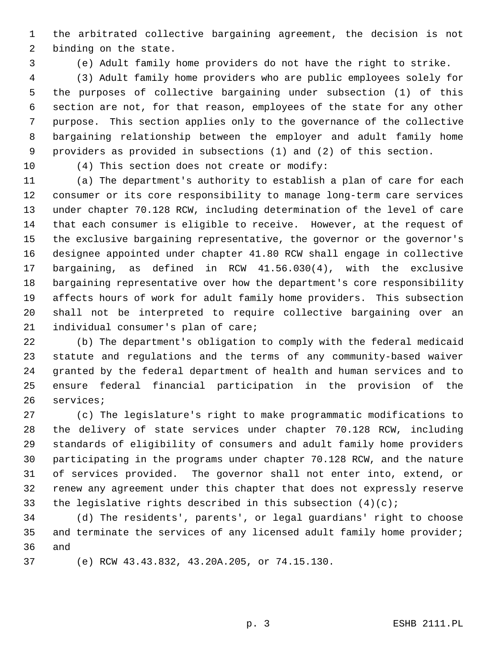the arbitrated collective bargaining agreement, the decision is not binding on the state.

(e) Adult family home providers do not have the right to strike.

 (3) Adult family home providers who are public employees solely for the purposes of collective bargaining under subsection (1) of this section are not, for that reason, employees of the state for any other purpose. This section applies only to the governance of the collective bargaining relationship between the employer and adult family home providers as provided in subsections (1) and (2) of this section.

(4) This section does not create or modify:

 (a) The department's authority to establish a plan of care for each consumer or its core responsibility to manage long-term care services under chapter 70.128 RCW, including determination of the level of care that each consumer is eligible to receive. However, at the request of the exclusive bargaining representative, the governor or the governor's designee appointed under chapter 41.80 RCW shall engage in collective bargaining, as defined in RCW 41.56.030(4), with the exclusive bargaining representative over how the department's core responsibility affects hours of work for adult family home providers. This subsection shall not be interpreted to require collective bargaining over an individual consumer's plan of care;

 (b) The department's obligation to comply with the federal medicaid statute and regulations and the terms of any community-based waiver granted by the federal department of health and human services and to ensure federal financial participation in the provision of the services;

 (c) The legislature's right to make programmatic modifications to the delivery of state services under chapter 70.128 RCW, including standards of eligibility of consumers and adult family home providers participating in the programs under chapter 70.128 RCW, and the nature of services provided. The governor shall not enter into, extend, or renew any agreement under this chapter that does not expressly reserve 33 the legislative rights described in this subsection  $(4)(c)i$ 

 (d) The residents', parents', or legal guardians' right to choose 35 and terminate the services of any licensed adult family home provider; and

(e) RCW 43.43.832, 43.20A.205, or 74.15.130.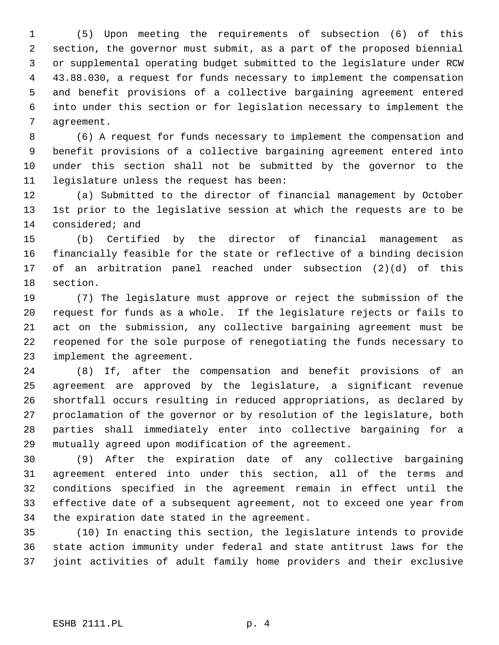(5) Upon meeting the requirements of subsection (6) of this section, the governor must submit, as a part of the proposed biennial or supplemental operating budget submitted to the legislature under RCW 43.88.030, a request for funds necessary to implement the compensation and benefit provisions of a collective bargaining agreement entered into under this section or for legislation necessary to implement the agreement.

 (6) A request for funds necessary to implement the compensation and benefit provisions of a collective bargaining agreement entered into under this section shall not be submitted by the governor to the legislature unless the request has been:

 (a) Submitted to the director of financial management by October 1st prior to the legislative session at which the requests are to be considered; and

 (b) Certified by the director of financial management as financially feasible for the state or reflective of a binding decision of an arbitration panel reached under subsection (2)(d) of this section.

 (7) The legislature must approve or reject the submission of the request for funds as a whole. If the legislature rejects or fails to act on the submission, any collective bargaining agreement must be reopened for the sole purpose of renegotiating the funds necessary to implement the agreement.

 (8) If, after the compensation and benefit provisions of an agreement are approved by the legislature, a significant revenue shortfall occurs resulting in reduced appropriations, as declared by proclamation of the governor or by resolution of the legislature, both parties shall immediately enter into collective bargaining for a mutually agreed upon modification of the agreement.

 (9) After the expiration date of any collective bargaining agreement entered into under this section, all of the terms and conditions specified in the agreement remain in effect until the effective date of a subsequent agreement, not to exceed one year from the expiration date stated in the agreement.

 (10) In enacting this section, the legislature intends to provide state action immunity under federal and state antitrust laws for the joint activities of adult family home providers and their exclusive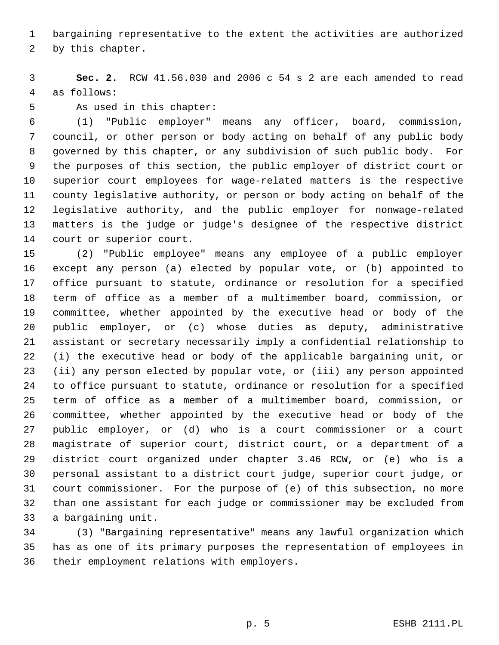bargaining representative to the extent the activities are authorized

by this chapter.

 **Sec. 2.** RCW 41.56.030 and 2006 c 54 s 2 are each amended to read as follows:

As used in this chapter:

 (1) "Public employer" means any officer, board, commission, council, or other person or body acting on behalf of any public body governed by this chapter, or any subdivision of such public body. For the purposes of this section, the public employer of district court or superior court employees for wage-related matters is the respective county legislative authority, or person or body acting on behalf of the legislative authority, and the public employer for nonwage-related matters is the judge or judge's designee of the respective district court or superior court.

 (2) "Public employee" means any employee of a public employer except any person (a) elected by popular vote, or (b) appointed to office pursuant to statute, ordinance or resolution for a specified term of office as a member of a multimember board, commission, or committee, whether appointed by the executive head or body of the public employer, or (c) whose duties as deputy, administrative assistant or secretary necessarily imply a confidential relationship to (i) the executive head or body of the applicable bargaining unit, or (ii) any person elected by popular vote, or (iii) any person appointed to office pursuant to statute, ordinance or resolution for a specified term of office as a member of a multimember board, commission, or committee, whether appointed by the executive head or body of the public employer, or (d) who is a court commissioner or a court magistrate of superior court, district court, or a department of a district court organized under chapter 3.46 RCW, or (e) who is a personal assistant to a district court judge, superior court judge, or court commissioner. For the purpose of (e) of this subsection, no more than one assistant for each judge or commissioner may be excluded from a bargaining unit.

 (3) "Bargaining representative" means any lawful organization which has as one of its primary purposes the representation of employees in their employment relations with employers.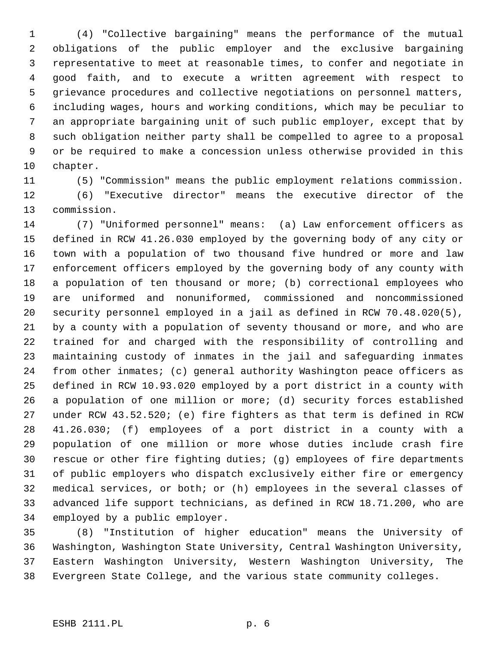(4) "Collective bargaining" means the performance of the mutual obligations of the public employer and the exclusive bargaining representative to meet at reasonable times, to confer and negotiate in good faith, and to execute a written agreement with respect to grievance procedures and collective negotiations on personnel matters, including wages, hours and working conditions, which may be peculiar to an appropriate bargaining unit of such public employer, except that by such obligation neither party shall be compelled to agree to a proposal or be required to make a concession unless otherwise provided in this chapter.

(5) "Commission" means the public employment relations commission.

 (6) "Executive director" means the executive director of the commission.

 (7) "Uniformed personnel" means: (a) Law enforcement officers as defined in RCW 41.26.030 employed by the governing body of any city or town with a population of two thousand five hundred or more and law enforcement officers employed by the governing body of any county with a population of ten thousand or more; (b) correctional employees who are uniformed and nonuniformed, commissioned and noncommissioned security personnel employed in a jail as defined in RCW 70.48.020(5), by a county with a population of seventy thousand or more, and who are trained for and charged with the responsibility of controlling and maintaining custody of inmates in the jail and safeguarding inmates from other inmates; (c) general authority Washington peace officers as defined in RCW 10.93.020 employed by a port district in a county with a population of one million or more; (d) security forces established under RCW 43.52.520; (e) fire fighters as that term is defined in RCW 41.26.030; (f) employees of a port district in a county with a population of one million or more whose duties include crash fire rescue or other fire fighting duties; (g) employees of fire departments of public employers who dispatch exclusively either fire or emergency medical services, or both; or (h) employees in the several classes of advanced life support technicians, as defined in RCW 18.71.200, who are employed by a public employer.

 (8) "Institution of higher education" means the University of Washington, Washington State University, Central Washington University, Eastern Washington University, Western Washington University, The Evergreen State College, and the various state community colleges.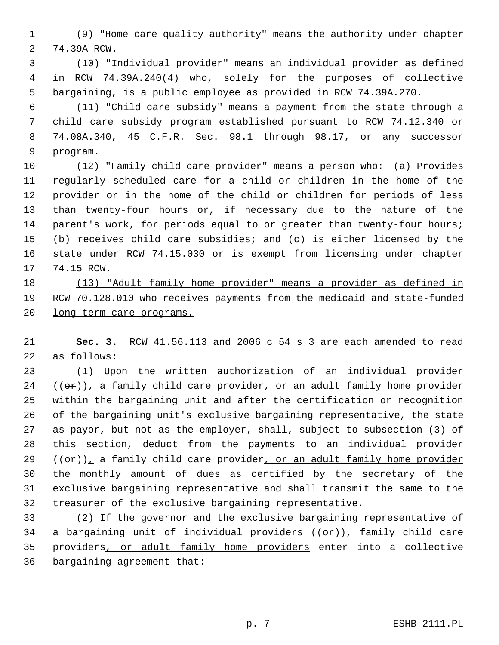(9) "Home care quality authority" means the authority under chapter 74.39A RCW.

 (10) "Individual provider" means an individual provider as defined in RCW 74.39A.240(4) who, solely for the purposes of collective bargaining, is a public employee as provided in RCW 74.39A.270.

 (11) "Child care subsidy" means a payment from the state through a child care subsidy program established pursuant to RCW 74.12.340 or 74.08A.340, 45 C.F.R. Sec. 98.1 through 98.17, or any successor program.

 (12) "Family child care provider" means a person who: (a) Provides regularly scheduled care for a child or children in the home of the provider or in the home of the child or children for periods of less than twenty-four hours or, if necessary due to the nature of the parent's work, for periods equal to or greater than twenty-four hours; (b) receives child care subsidies; and (c) is either licensed by the state under RCW 74.15.030 or is exempt from licensing under chapter 74.15 RCW.

 (13) "Adult family home provider" means a provider as defined in RCW 70.128.010 who receives payments from the medicaid and state-funded long-term care programs.

 **Sec. 3.** RCW 41.56.113 and 2006 c 54 s 3 are each amended to read as follows:

 (1) Upon the written authorization of an individual provider (( $\theta$ r)), a family child care provider, or an adult family home provider within the bargaining unit and after the certification or recognition of the bargaining unit's exclusive bargaining representative, the state as payor, but not as the employer, shall, subject to subsection (3) of this section, deduct from the payments to an individual provider (( $\theta$ r)), a family child care provider, or an adult family home provider the monthly amount of dues as certified by the secretary of the exclusive bargaining representative and shall transmit the same to the treasurer of the exclusive bargaining representative.

 (2) If the governor and the exclusive bargaining representative of 34 a bargaining unit of individual providers  $((\theta \hat{r}))$ , family child care providers, or adult family home providers enter into a collective bargaining agreement that: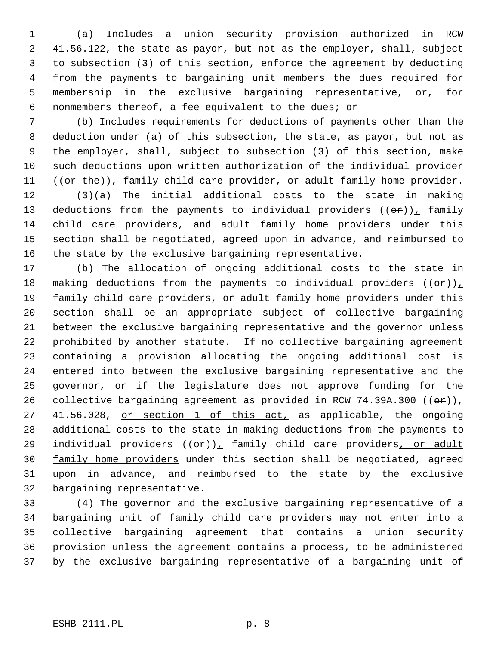(a) Includes a union security provision authorized in RCW 41.56.122, the state as payor, but not as the employer, shall, subject to subsection (3) of this section, enforce the agreement by deducting from the payments to bargaining unit members the dues required for membership in the exclusive bargaining representative, or, for nonmembers thereof, a fee equivalent to the dues; or

 (b) Includes requirements for deductions of payments other than the deduction under (a) of this subsection, the state, as payor, but not as the employer, shall, subject to subsection (3) of this section, make such deductions upon written authorization of the individual provider  $((or the))_1$  family child care provider, or adult family home provider.

 (3)(a) The initial additional costs to the state in making 13 deductions from the payments to individual providers  $((\theta \hat{r}))$ , family child care providers, and adult family home providers under this section shall be negotiated, agreed upon in advance, and reimbursed to the state by the exclusive bargaining representative.

 (b) The allocation of ongoing additional costs to the state in 18 making deductions from the payments to individual providers  $((\theta \cdot \mathbf{r}))$ 19 family child care providers, or adult family home providers under this section shall be an appropriate subject of collective bargaining between the exclusive bargaining representative and the governor unless prohibited by another statute. If no collective bargaining agreement containing a provision allocating the ongoing additional cost is entered into between the exclusive bargaining representative and the governor, or if the legislature does not approve funding for the 26 collective bargaining agreement as provided in RCW 74.39A.300  $((\theta \cdot \mathbf{r}))$ 27 41.56.028, or section 1 of this act, as applicable, the ongoing additional costs to the state in making deductions from the payments to 29 individual providers  $((\theta \hat{r}))_T$  family child care providers, or adult 30 family home providers under this section shall be negotiated, agreed upon in advance, and reimbursed to the state by the exclusive bargaining representative.

 (4) The governor and the exclusive bargaining representative of a bargaining unit of family child care providers may not enter into a collective bargaining agreement that contains a union security provision unless the agreement contains a process, to be administered by the exclusive bargaining representative of a bargaining unit of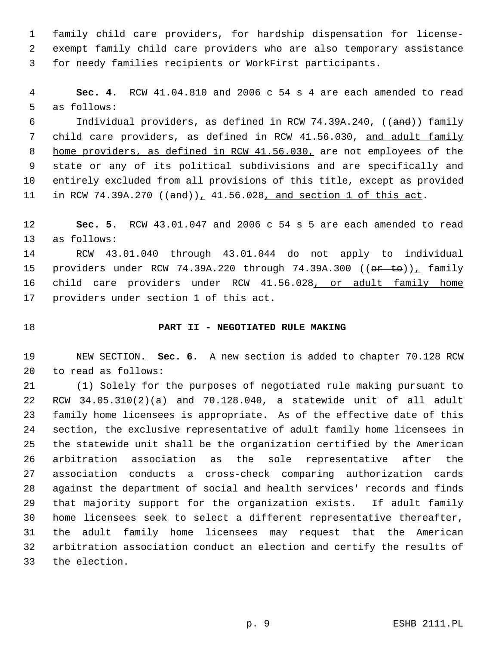family child care providers, for hardship dispensation for license- exempt family child care providers who are also temporary assistance for needy families recipients or WorkFirst participants.

 **Sec. 4.** RCW 41.04.810 and 2006 c 54 s 4 are each amended to read as follows:

 Individual providers, as defined in RCW 74.39A.240, ((and)) family child care providers, as defined in RCW 41.56.030, and adult family 8 home providers, as defined in RCW 41.56.030, are not employees of the state or any of its political subdivisions and are specifically and entirely excluded from all provisions of this title, except as provided 11 in RCW 74.39A.270  $((and))_1$  41.56.028, and section 1 of this act.

 **Sec. 5.** RCW 43.01.047 and 2006 c 54 s 5 are each amended to read as follows:

 RCW 43.01.040 through 43.01.044 do not apply to individual 15 providers under RCW 74.39A.220 through 74.39A.300 ((or to)), family 16 child care providers under RCW 41.56.028, or adult family home providers under section 1 of this act.

# **PART II - NEGOTIATED RULE MAKING**

 NEW SECTION. **Sec. 6.** A new section is added to chapter 70.128 RCW to read as follows:

 (1) Solely for the purposes of negotiated rule making pursuant to RCW 34.05.310(2)(a) and 70.128.040, a statewide unit of all adult family home licensees is appropriate. As of the effective date of this section, the exclusive representative of adult family home licensees in the statewide unit shall be the organization certified by the American arbitration association as the sole representative after the association conducts a cross-check comparing authorization cards against the department of social and health services' records and finds that majority support for the organization exists. If adult family home licensees seek to select a different representative thereafter, the adult family home licensees may request that the American arbitration association conduct an election and certify the results of the election.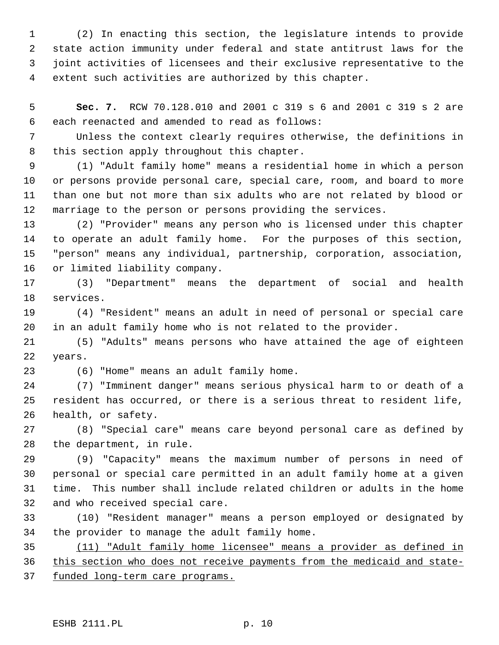(2) In enacting this section, the legislature intends to provide state action immunity under federal and state antitrust laws for the joint activities of licensees and their exclusive representative to the extent such activities are authorized by this chapter.

 **Sec. 7.** RCW 70.128.010 and 2001 c 319 s 6 and 2001 c 319 s 2 are each reenacted and amended to read as follows:

 Unless the context clearly requires otherwise, the definitions in this section apply throughout this chapter.

 (1) "Adult family home" means a residential home in which a person or persons provide personal care, special care, room, and board to more than one but not more than six adults who are not related by blood or marriage to the person or persons providing the services.

 (2) "Provider" means any person who is licensed under this chapter to operate an adult family home. For the purposes of this section, "person" means any individual, partnership, corporation, association, or limited liability company.

 (3) "Department" means the department of social and health services.

 (4) "Resident" means an adult in need of personal or special care in an adult family home who is not related to the provider.

 (5) "Adults" means persons who have attained the age of eighteen years.

(6) "Home" means an adult family home.

 (7) "Imminent danger" means serious physical harm to or death of a resident has occurred, or there is a serious threat to resident life, health, or safety.

 (8) "Special care" means care beyond personal care as defined by the department, in rule.

 (9) "Capacity" means the maximum number of persons in need of personal or special care permitted in an adult family home at a given time. This number shall include related children or adults in the home and who received special care.

 (10) "Resident manager" means a person employed or designated by the provider to manage the adult family home.

 (11) "Adult family home licensee" means a provider as defined in this section who does not receive payments from the medicaid and state-funded long-term care programs.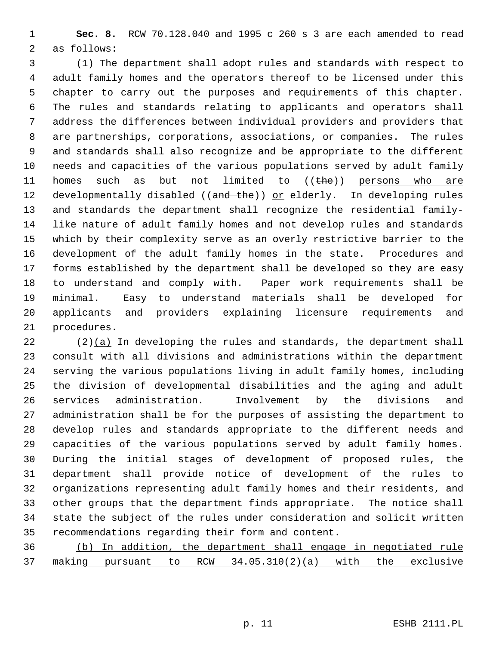**Sec. 8.** RCW 70.128.040 and 1995 c 260 s 3 are each amended to read as follows:

 (1) The department shall adopt rules and standards with respect to adult family homes and the operators thereof to be licensed under this chapter to carry out the purposes and requirements of this chapter. The rules and standards relating to applicants and operators shall address the differences between individual providers and providers that are partnerships, corporations, associations, or companies. The rules and standards shall also recognize and be appropriate to the different needs and capacities of the various populations served by adult family 11 homes such as but not limited to  $((the e))$  persons who are 12 developmentally disabled ((and the)) or elderly. In developing rules and standards the department shall recognize the residential family- like nature of adult family homes and not develop rules and standards which by their complexity serve as an overly restrictive barrier to the development of the adult family homes in the state. Procedures and forms established by the department shall be developed so they are easy to understand and comply with. Paper work requirements shall be minimal. Easy to understand materials shall be developed for applicants and providers explaining licensure requirements and procedures.

 (2)(a) In developing the rules and standards, the department shall consult with all divisions and administrations within the department serving the various populations living in adult family homes, including the division of developmental disabilities and the aging and adult services administration. Involvement by the divisions and administration shall be for the purposes of assisting the department to develop rules and standards appropriate to the different needs and capacities of the various populations served by adult family homes. During the initial stages of development of proposed rules, the department shall provide notice of development of the rules to organizations representing adult family homes and their residents, and other groups that the department finds appropriate. The notice shall state the subject of the rules under consideration and solicit written recommendations regarding their form and content.

 (b) In addition, the department shall engage in negotiated rule making pursuant to RCW 34.05.310(2)(a) with the exclusive